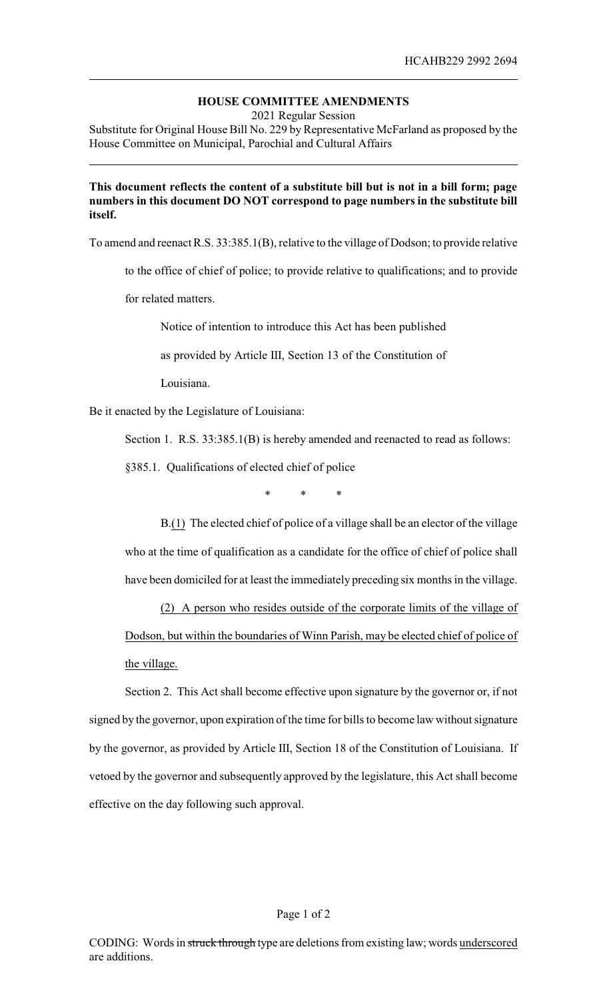## **HOUSE COMMITTEE AMENDMENTS**

2021 Regular Session

Substitute for Original House Bill No. 229 by Representative McFarland as proposed by the House Committee on Municipal, Parochial and Cultural Affairs

## **This document reflects the content of a substitute bill but is not in a bill form; page numbers in this document DO NOT correspond to page numbers in the substitute bill itself.**

To amend and reenact R.S. 33:385.1(B), relative to the village of Dodson; to provide relative

to the office of chief of police; to provide relative to qualifications; and to provide

for related matters.

Notice of intention to introduce this Act has been published

as provided by Article III, Section 13 of the Constitution of

Louisiana.

Be it enacted by the Legislature of Louisiana:

Section 1. R.S. 33:385.1(B) is hereby amended and reenacted to read as follows:

§385.1. Qualifications of elected chief of police

\* \* \*

B.(1) The elected chief of police of a village shall be an elector of the village who at the time of qualification as a candidate for the office of chief of police shall have been domiciled for at least the immediately preceding six months in the village.

(2) A person who resides outside of the corporate limits of the village of Dodson, but within the boundaries of Winn Parish, may be elected chief of police of the village.

Section 2. This Act shall become effective upon signature by the governor or, if not signed by the governor, upon expiration of the time for bills to become law without signature by the governor, as provided by Article III, Section 18 of the Constitution of Louisiana. If vetoed by the governor and subsequently approved by the legislature, this Act shall become effective on the day following such approval.